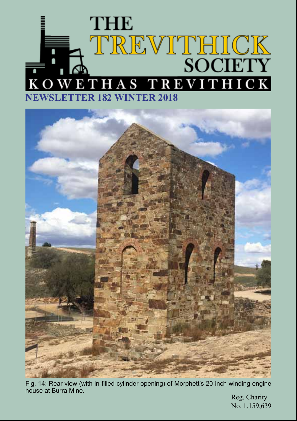# **THE** TREVITHICK<br>SOCIETY KOWETHAS TREVITHICK **NEWSLETTER 182 WINTER 2018**



Fig. 14: Rear view (with in-filled cylinder opening) of Morphett's 20-inch winding engine house at Burra Mine.

Reg. Charity No. 1,159,639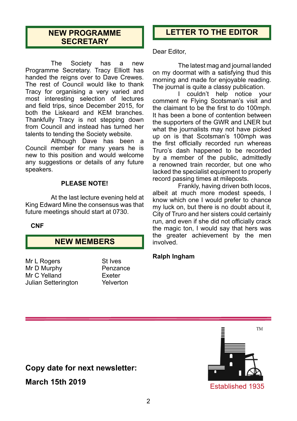# **NEW PROGRAMME SECRETARY**

The Society has a new Programme Secretary. Tracy Elliott has handed the reigns over to Dave Crewes. The rest of Council would like to thank Tracy for organising a very varied and most interesting selection of lectures and field trips, since December 2015, for both the Liskeard and KEM branches. Thankfully Tracy is not stepping down from Council and instead has turned her talents to tending the Society website.

Although Dave has been a Council member for many years he is new to this position and would welcome any suggestions or details of any future speakers.

### **PLEASE NOTE!**

At the last lecture evening held at King Edward Mine the consensus was that future meetings should start at 0730.

### **CNF**

# **NEW MEMBERS**

Mr L Rogers St Ives Mr D Murphy Mr C Yelland Exeter Julian Setterington Yelverton

# **LETTER TO THE EDITOR**

Dear Editor,

The latest mag and journal landed on my doormat with a satisfying thud this morning and made for enjoyable reading. The journal is quite a classy publication.

I couldn't help notice your comment re Flying Scotsman's visit and the claimant to be the first to do 100mph. It has been a bone of contention between the supporters of the GWR and LNER but what the journalists may not have picked up on is that Scotsman's 100mph was the first officially recorded run whereas Truro's dash happened to be recorded by a member of the public, admittedly a renowned train recorder, but one who lacked the specialist equipment to properly record passing times at mileposts.

Frankly, having driven both locos, albeit at much more modest speeds, I know which one I would prefer to chance my luck on, but there is no doubt about it, City of Truro and her sisters could certainly run, and even if she did not officially crack the magic ton, I would say that hers was the greater achievement by the men involved.

### **Ralph Ingham**



**Copy date for next newsletter:** 

**March 15th 2019**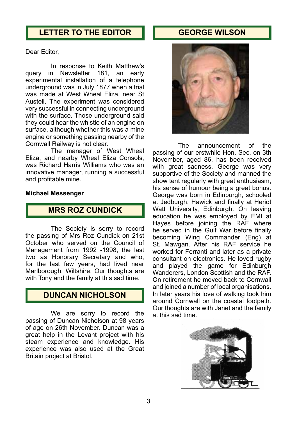# **LETTER TO THE EDITOR**

# **GEORGE WILSON**

Dear Editor,

In response to Keith Matthew's query in Newsletter 181, an early experimental installation of a telephone underground was in July 1877 when a trial was made at West Wheal Eliza, near St Austell. The experiment was considered very successful in connecting underground with the surface. Those underground said they could hear the whistle of an engine on surface, although whether this was a mine engine or something passing nearby of the Cornwall Railway is not clear.

The manager of West Wheal Eliza, and nearby Wheal Eliza Consols, was Richard Harris Williams who was an innovative manager, running a successful and profitable mine.

#### **Michael Messenger**

# **MRS ROZ CUNDICK**

The Society is sorry to record the passing of Mrs Roz Cundick on 21st October who served on the Council of Management from 1992 -1998, the last two as Honorary Secretary and who, for the last few years, had lived near Marlborough, Wiltshire. Our thoughts are with Tony and the family at this sad time.

# **DUNCAN NICHOLSON**

We are sorry to record the passing of Duncan Nicholson at 98 years of age on 26th November. Duncan was a great help in the Levant project with his steam experience and knowledge. His experience was also used at the Great Britain project at Bristol.



The announcement of the passing of our erstwhile Hon. Sec. on 3th November, aged 86, has been received with great sadness. George was very supportive of the Society and manned the show tent regularly with great enthusiasm, his sense of humour being a great bonus. George was born in Edinburgh, schooled at Jedburgh, Hawick and finally at Heriot Watt University, Edinburgh. On leaving education he was employed by EMI at Hayes before joining the RAF where he served in the Gulf War before finally becoming Wing Commander (Eng) at St. Mawgan. After his RAF service he worked for Ferranti and later as a private consultant on electronics. He loved rugby and played the game for Edinburgh Wanderers, London Scottish and the RAF. On retirement he moved back to Cornwall and joined a number of local organisations. In later years his love of walking took him around Cornwall on the coastal footpath. Our thoughts are with Janet and the family at this sad time.

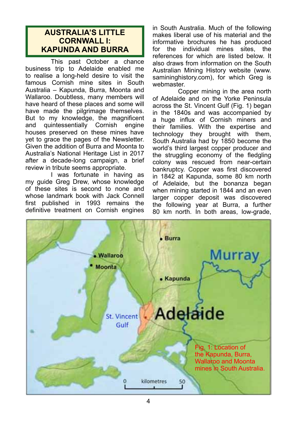# **AUSTRALIA'S LITTLE CORNWALL I: KAPUNDA AND BURRA**

This past October a chance business trip to Adelaide enabled me to realise a long-held desire to visit the famous Cornish mine sites in South Australia – Kapunda, Burra, Moonta and Wallaroo. Doubtless, many members will have heard of these places and some will have made the pilgrimage themselves. But to my knowledge, the magnificent<br>and quintessentially Cornish engine quintessentially houses preserved on these mines have yet to grace the pages of the Newsletter. Given the addition of Burra and Moonta to Australia's National Heritage List in 2017 after a decade-long campaign, a brief review in tribute seems appropriate.

I was fortunate in having as my guide Greg Drew, whose knowledge of these sites is second to none and whose landmark book with Jack Connell first published in 1993 remains the definitive treatment on Cornish engines

in South Australia. Much of the following makes liberal use of his material and the informative brochures he has produced for the individual mines sites, the references for which are listed below. It also draws from information on the South Australian Mining History website (www. samininghistory.com), for which Greg is webmaster.

Copper mining in the area north of Adelaide and on the Yorke Peninsula across the St. Vincent Gulf (Fig. 1) began in the 1840s and was accompanied by a huge influx of Cornish miners and their families. With the expertise and technology they brought with them, South Australia had by 1850 become the world's third largest copper producer and the struggling economy of the fledgling colony was rescued from near-certain bankruptcy. Copper was first discovered in 1842 at Kapunda, some 80 km north of Adelaide, but the bonanza began when mining started in 1844 and an even larger copper deposit was discovered the following year at Burra, a further 80 km north. In both areas, low-grade,

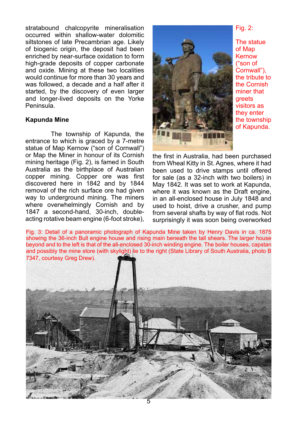stratabound chalcopyrite mineralisation occurred within shallow-water dolomitic siltstones of late Precambrian age. Likely of biogenic origin, the deposit had been enriched by near-surface oxidation to form high-grade deposits of copper carbonate and oxide. Mining at these two localities would continue for more than 30 years and was followed, a decade and a half after it started, by the discovery of even larger and longer-lived deposits on the Yorke Peninsula.

### **Kapunda Mine**

The township of Kapunda, the entrance to which is graced by a 7-metre statue of Map Kernow ("son of Cornwall") or Map the Miner in honour of its Cornish mining heritage (Fig. 2), is famed in South Australia as the birthplace of Australian copper mining. Copper ore was first discovered here in 1842 and by 1844 removal of the rich surface ore had given way to underground mining. The miners where overwhelmingly Cornish and by 1847 a second-hand, 30-inch, doubleacting rotative beam engine (6-foot stroke),



The statue of Map Kernow ("son of Cornwall"), the tribute to the Cornish miner that greets visitors as they enter the township of Kapunda.

the first in Australia, had been purchased from Wheal Kitty in St. Agnes, where it had been used to drive stamps until offered for sale (as a 32-inch with two boilers) in May 1842. It was set to work at Kapunda, where it was known as the Draft engine. in an all-enclosed house in July 1848 and used to hoist, drive a crusher, and pump from several shafts by way of flat rods. Not surprisingly it was soon being overworked

Fig. 3: Detail of a panoramic photograph of Kapunda Mine taken by Henry Davis in ca. 1875 showing the 36-inch Bull engine house and rising main beneath the tall shears. The larger house beyond and to the left is that of the all-enclosed 30-inch winding engine. The boiler houses, capstan and possibly the mine store (with skylight) lie to the right (State Library of South Australia, photo B 7347, courtesy Greg Drew).

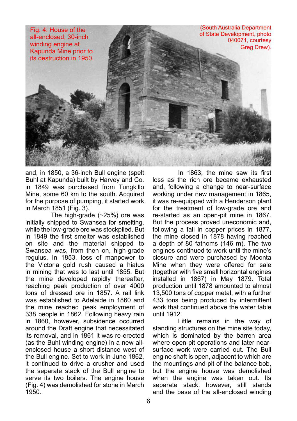

and, in 1850, a 36-inch Bull engine (spelt Buhl at Kapunda) built by Harvey and Co. in 1849 was purchased from Tungkillo Mine, some 60 km to the south. Acquired for the purpose of pumping, it started work in March 1851 (Fig. 3).

The high-grade (~25%) ore was initially shipped to Swansea for smelting, while the low-grade ore was stockpiled. But in 1849 the first smelter was established on site and the material shipped to Swansea was, from then on, high-grade regulus. In 1853, loss of manpower to the Victoria gold rush caused a hiatus in mining that was to last until 1855. But the mine developed rapidly thereafter, reaching peak production of over 4000 tons of dressed ore in 1857. A rail link was established to Adelaide in 1860 and the mine reached peak employment of 338 people in 1862. Following heavy rain in 1860, however, subsidence occurred around the Draft engine that necessitated its removal, and in 1861 it was re-erected (as the Buhl winding engine) in a new allenclosed house a short distance west of the Bull engine. Set to work in June 1862, it continued to drive a crusher and used the separate stack of the Bull engine to serve its two boilers. The engine house (Fig. 4) was demolished for stone in March 1950.

In 1863, the mine saw its first loss as the rich ore became exhausted and, following a change to near-surface working under new management in 1865, it was re-equipped with a Henderson plant for the treatment of low-grade ore and re-started as an open-pit mine in 1867. But the process proved uneconomic and, following a fall in copper prices in 1877, the mine closed in 1878 having reached a depth of 80 fathoms (146 m). The two engines continued to work until the mine's closure and were purchased by Moonta Mine when they were offered for sale (together with five small horizontal engines installed in 1867) in May 1879. Total production until 1878 amounted to almost 13,500 tons of copper metal, with a further 433 tons being produced by intermittent work that continued above the water table until 1912.

Little remains in the way of standing structures on the mine site today, which is dominated by the barren area where open-pit operations and later nearsurface work were carried out. The Bull engine shaft is open, adjacent to which are the mountings and pit of the balance bob, but the engine house was demolished when the engine was taken out. Its separate stack, however, still stands and the base of the all-enclosed winding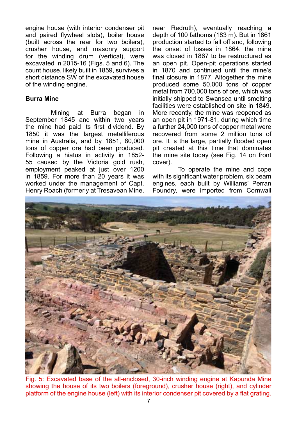engine house (with interior condenser pit and paired flywheel slots), boiler house (built across the rear for two boilers), crusher house, and masonry support for the winding drum (vertical), were excavated in 2015-16 (Figs. 5 and 6). The count house, likely built in 1859, survives a short distance SW of the excavated house of the winding engine.

### **Burra Mine**

Mining at Burra began in September 1845 and within two vears the mine had paid its first dividend. By 1850 it was the largest metalliferous mine in Australia, and by 1851, 80,000 tons of copper ore had been produced. Following a hiatus in activity in 1852- 55 caused by the Victoria gold rush, employment peaked at just over 1200 in 1859. For more than 20 years it was worked under the management of Capt. Henry Roach (formerly at Tresavean Mine,

near Redruth), eventually reaching a depth of 100 fathoms (183 m). But in 1861 production started to fall off and, following the onset of losses in 1864, the mine was closed in 1867 to be restructured as an open pit. Open-pit operations started in 1870 and continued until the mine's final closure in 1877. Altogether the mine produced some 50,000 tons of copper metal from 700,000 tons of ore, which was initially shipped to Swansea until smelting facilities were established on site in 1849. More recently, the mine was reopened as an open pit in 1971-81, during which time a further 24,000 tons of copper metal were recovered from some 2 million tons of ore. It is the large, partially flooded open pit created at this time that dominates the mine site today (see Fig. 14 on front cover).

To operate the mine and cope with its significant water problem, six beam engines, each built by Williams' Perran Foundry, were imported from Cornwall



Fig. 5: Excavated base of the all-enclosed, 30-inch winding engine at Kapunda Mine showing the house of its two boilers (foreground), crusher house (right), and cylinder platform of the engine house (left) with its interior condenser pit covered by a flat grating.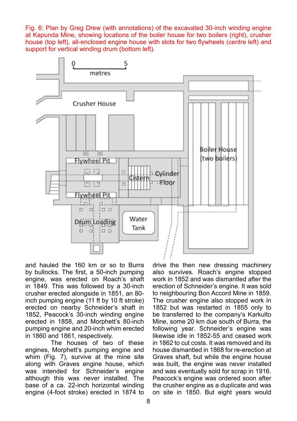Fig. 6: Plan by Greg Drew (with annotations) of the excavated 30-inch winding engine at Kapunda Mine, showing locations of the boiler house for two boilers (right), crusher house (top left), all-enclosed engine house with slots for two flywheels (centre left) and support for vertical winding drum (bottom left).



and hauled the 160 km or so to Burra by bullocks. The first, a 50-inch pumping engine, was erected on Roach's shaft in 1849. This was followed by a 30-inch crusher erected alongside in 1851, an 80 inch pumping engine (11 ft by 10 ft stroke) erected on nearby Schneider's shaft in 1852, Peacock's 30-inch winding engine erected in 1858, and Morphett's 80-inch pumping engine and 20-inch whim erected in 1860 and 1861, respectively.

The houses of two of these engines, Morphett's pumping engine and whim (Fig. 7), survive at the mine site along with Graves engine house, which was intended for Schneider's engine although this was never installed. The base of a ca. 22-inch horizontal winding engine (4-foot stroke) erected in 1874 to

drive the then new dressing machinery also survives. Roach's engine stopped work in 1852 and was dismantled after the erection of Schneider's engine. It was sold to neighbouring Bon Accord Mine in 1859. The crusher engine also stopped work in 1852 but was restarted in 1855 only to be transferred to the company's Karkulto Mine, some 20 km due south of Burra, the following year. Schneider's engine was likewise idle in 1852-55 and ceased work in 1862 to cut costs. It was removed and its house dismantled in 1868 for re-erection at Graves shaft, but while the engine house was built, the engine was never installed and was eventually sold for scrap in 1916. Peacock's engine was ordered soon after the crusher engine as a duplicate and was on site in 1850. But eight years would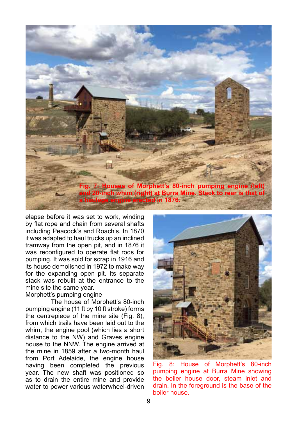

elapse before it was set to work, winding by flat rope and chain from several shafts including Peacock's and Roach's. In 1870 it was adapted to haul trucks up an inclined tramway from the open pit, and in 1876 it was reconfigured to operate flat rods for pumping. It was sold for scrap in 1916 and its house demolished in 1972 to make way for the expanding open pit. Its separate stack was rebuilt at the entrance to the mine site the same year.

### Morphett's pumping engine

The house of Morphett's 80-inch pumping engine (11 ft by 10 ft stroke) forms the centrepiece of the mine site (Fig. 8), from which trails have been laid out to the whim, the engine pool (which lies a short distance to the NW) and Graves engine house to the NNW. The engine arrived at the mine in 1859 after a two-month haul from Port Adelaide, the engine house having been completed the previous year. The new shaft was positioned so as to drain the entire mine and provide water to power various waterwheel-driven



Fig. 8: House of Morphett's 80-inch pumping engine at Burra Mine showing the boiler house door, steam inlet and drain. In the foreground is the base of the boiler house.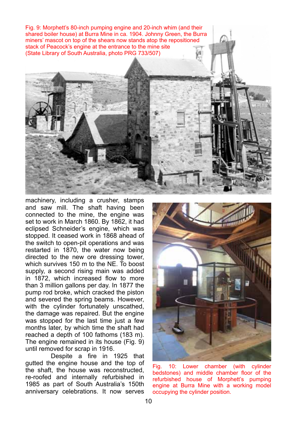Fig. 9: Morphett's 80-inch pumping engine and 20-inch whim (and their shared boiler house) at Burra Mine in ca. 1904. Johnny Green, the Burra miners' mascot on top of the shears now stands atop the repositioned stack of Peacock's engine at the entrance to the mine site (State Library of South Australia, photo PRG 733/507)



Despite a fire in 1925 that gutted the engine house and the top of the shaft, the house was reconstructed, re-roofed and internally refurbished in 1985 as part of South Australia's 150th anniversary celebrations. It now serves



Fig. 10: Lower chamber (with cylinder bedstones) and middle chamber floor of the refurbished house of Morphett's pumping engine at Burra Mine with a working model occupying the cylinder position.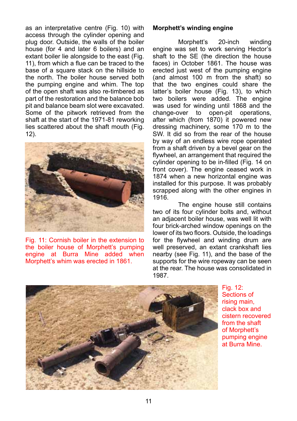as an interpretative centre (Fig. 10) with access through the cylinder opening and plug door. Outside, the walls of the boiler house (for 4 and later 6 boilers) and an extant boiler lie alongside to the east (Fig. 11), from which a flue can be traced to the base of a square stack on the hillside to the north. The boiler house served both the pumping engine and whim. The top of the open shaft was also re-timbered as part of the restoration and the balance bob pit and balance beam slot were excavated. Some of the pitwork retrieved from the shaft at the start of the 1971-81 reworking lies scattered about the shaft mouth (Fig. 12).



Fig. 11: Cornish boiler in the extension to the boiler house of Morphett's pumping engine at Burra Mine added when Morphett's whim was erected in 1861.

### **Morphett's winding engine**

Morphett's 20-inch winding engine was set to work serving Hector's shaft to the SE (the direction the house faces) in October 1861. The house was erected just west of the pumping engine (and almost 100 m from the shaft) so that the two engines could share the latter's boiler house (Fig. 13), to which two boilers were added. The engine was used for winding until 1868 and the change-over to open-pit operations.  $change-over$  to open-pit after which (from 1870) it powered new dressing machinery, some 170 m to the SW. It did so from the rear of the house by way of an endless wire rope operated from a shaft driven by a bevel gear on the flywheel, an arrangement that required the cylinder opening to be in-filled (Fig. 14 on front cover). The engine ceased work in 1874 when a new horizontal engine was installed for this purpose. It was probably scrapped along with the other engines in 1916.

The engine house still contains two of its four cylinder bolts and, without an adjacent boiler house, was well lit with four brick-arched window openings on the lower of its two floors. Outside, the loadings for the flywheel and winding drum are well preserved, an extant crankshaft lies nearby (see Fig. 11), and the base of the supports for the wire ropeway can be seen at the rear. The house was consolidated in 1987.



Fig. 12: Sections of rising main, clack box and cistern recovered from the shaft of Morphett's pumping engine at Burra Mine.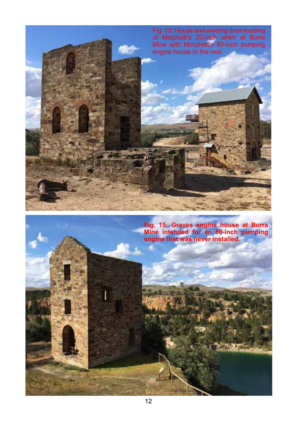

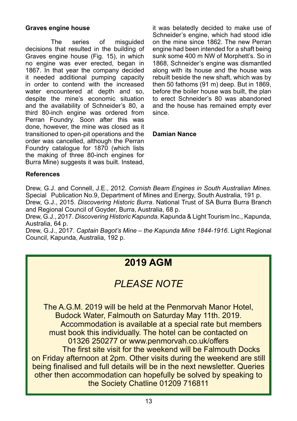### **Graves engine house**

The series of misguided decisions that resulted in the building of Graves engine house (Fig. 15), in which no engine was ever erected, began in 1867. In that year the company decided it needed additional pumping capacity in order to contend with the increased water encountered at depth and so, despite the mine's economic situation and the availability of Schneider's 80, a third 80-inch engine was ordered from Perran Foundry. Soon after this was done, however, the mine was closed as it transitioned to open-pit operations and the order was cancelled, although the Perran Foundry catalogue for 1870 (which lists the making of three 80-inch engines for Burra Mine) suggests it was built. Instead,

it was belatedly decided to make use of Schneider's engine, which had stood idle on the mine since 1862. The new Perran engine had been intended for a shaft being sunk some 400 m NW of Morphett's. So in 1868, Schneider's engine was dismantled along with its house and the house was rebuilt beside the new shaft, which was by then 50 fathoms (91 m) deep. But in 1869, before the boiler house was built, the plan to erect Schneider's 80 was abandoned and the house has remained empty ever since.

### **Damian Nance**

### **References**

Drew, G.J. and Connell, J.E., 2012. *Cornish Beam Engines in South Australian Mines.*  Special Publication No.9, Department of Mines and Energy, South Australia, 191 p.

Drew, G.J., 2015. *Discovering Historic Burra*. National Trust of SA Burra Burra Branch and Regional Council of Goyder, Burra, Australia, 68 p.

Drew, G.J., 2017. *Discovering Historic Kapunda.* Kapunda & Light Tourism Inc., Kapunda, Australia, 64 p.

Drew, G.J., 2017. *Captain Bagot's Mine – the Kapunda Mine 1844-1916*. Light Regional Council, Kapunda, Australia, 192 p.

# **2019 AGM**

# *PLEASE NOTE*

The A.G.M. 2019 will be held at the Penmorvah Manor Hotel, Budock Water, Falmouth on Saturday May 11th. 2019. Accommodation is available at a special rate but members must book this individually. The hotel can be contacted on 01326 250277 or www.penmorvah.co.uk/offers The first site visit for the weekend will be Falmouth Docks on Friday afternoon at 2pm. Other visits during the weekend are still being finalised and full details will be in the next newsletter. Queries other then accommodation can hopefully be solved by speaking to the Society Chatline 01209 716811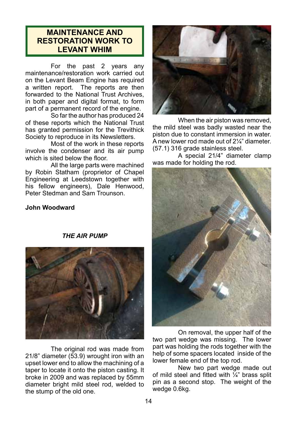# **MAINTENANCE AND RESTORATION WORK TO LEVANT WHIM**

For the past 2 years any maintenance/restoration work carried out on the Levant Beam Engine has required a written report. The reports are then forwarded to the National Trust Archives, in both paper and digital format, to form part of a permanent record of the engine.

So far the author has produced 24 of these reports which the National Trust has granted permission for the Trevithick Society to reproduce in its Newsletters.

Most of the work in these reports involve the condenser and its air pump which is sited below the floor.

All the large parts were machined by Robin Statham (proprietor of Chapel Engineering at Leedstown together with his fellow engineers), Dale Henwood, Peter Stedman and Sam Trounson.

### **John Woodward**



When the air piston was removed. the mild steel was badly wasted near the piston due to constant immersion in water. A new lower rod made out of 2¼" diameter. (57.1) 316 grade stainless steel.

A special 21/4" diameter clamp was made for holding the rod.



On removal, the upper half of the two part wedge was missing. The lower part was holding the rods together with the help of some spacers located inside of the lower female end of the top rod.

New two part wedge made out of mild steel and fitted with  $\frac{1}{4}$ " brass split pin as a second stop. The weight of the wedge 0.6kg.

### *THE AIR PUMP*



The original rod was made from 21/8" diameter (53.9) wrought iron with an upset lower end to allow the machining of a taper to locate it onto the piston casting. It broke in 2009 and was replaced by 55mm diameter bright mild steel rod, welded to the stump of the old one.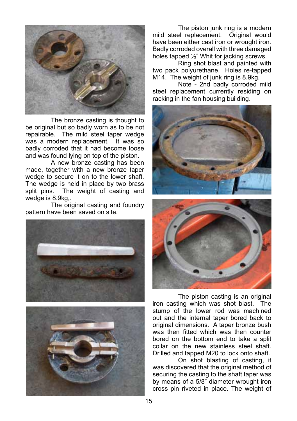

The bronze casting is thought to be original but so badly worn as to be not repairable. The mild steel taper wedge was a modern replacement. It was so badly corroded that it had become loose and was found lying on top of the piston.

A new bronze casting has been made, together with a new bronze taper wedge to secure it on to the lower shaft. The wedge is held in place by two brass<br>split pins. The weight of casting and The weight of casting and wedge is 8.9kg,.

The original casting and foundry pattern have been saved on site.





The piston junk ring is a modern mild steel replacement. Original would have been either cast iron or wrought iron. Badly corroded overall with three damaged holes tapped ½" Whit for jacking screws.

Ring shot blast and painted with two pack polyurethane. Holes re-tapped M14. The weight of junk ring is 8.9kg.

Note - 2nd badly corroded mild steel replacement currently residing on racking in the fan housing building.





The piston casting is an original iron casting which was shot blast. The stump of the lower rod was machined out and the internal taper bored back to original dimensions. A taper bronze bush was then fitted which was then counter bored on the bottom end to take a split collar on the new stainless steel shaft. Drilled and tapped M20 to lock onto shaft.

On shot blasting of casting, it was discovered that the original method of securing the casting to the shaft taper was by means of a 5/8" diameter wrought iron cross pin riveted in place. The weight of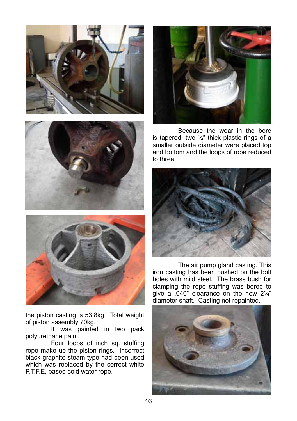



the piston casting is 53.8kg. Total weight of piston assembly 70kg.

It was painted in two pack polyurethane paint.

Four loops of inch sq. stuffing rope make up the piston rings. Incorrect black graphite steam type had been used which was replaced by the correct white P.T.F.E. based cold water rope.



Because the wear in the bore is tapered, two  $\frac{1}{2}$ " thick plastic rings of a smaller outside diameter were placed top and bottom and the loops of rope reduced to three.



The air pump gland casting. This iron casting has been bushed on the bolt holes with mild steel. The brass bush for clamping the rope stuffing was bored to give a .040" clearance on the new 2¼" diameter shaft. Casting not repainted.

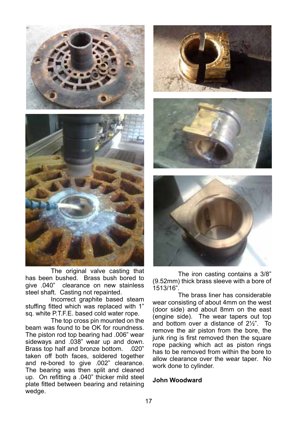

The original valve casting that has been bushed. Brass bush bored to give .040" clearance on new stainless steel shaft. Casting not repainted.

Incorrect graphite based steam stuffing fitted which was replaced with 1" sq. white P.T.F.E. based cold water rope.

The top cross pin mounted on the beam was found to be OK for roundness. The piston rod top bearing had .006" wear sideways and .038" wear up and down. Brass top half and bronze bottom. .020" taken off both faces, soldered together and re-bored to give .002" clearance. The bearing was then split and cleaned up. On refitting a .040" thicker mild steel plate fitted between bearing and retaining wedge.







The iron casting contains a 3/8" (9.52mm) thick brass sleeve with a bore of 1513/16".

The brass liner has considerable wear consisting of about 4mm on the west (door side) and about 8mm on the east (engine side). The wear tapers out top and bottom over a distance of 2½". To remove the air piston from the bore, the junk ring is first removed then the square rope packing which act as piston rings has to be removed from within the bore to allow clearance over the wear taper. No work done to cylinder.

### **John Woodward**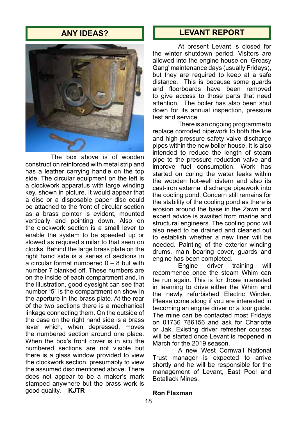# **ANY IDEAS?**



The box above is of wooden construction reinforced with metal strip and has a leather carrying handle on the top side. The circular equipment on the left is a clockwork apparatus with large winding key, shown in picture. It would appear that a disc or a disposable paper disc could be attached to the front of circular section as a brass pointer is evident, mounted vertically and pointing down. Also on the clockwork section is a small lever to enable the system to be speeded up or slowed as required similar to that seen on clocks. Behind the large brass plate on the right hand side is a series of sections in a circular format numbered  $0 - 8$  but with number 7 blanked off. These numbers are on the inside of each compartment and, in the illustration, good eyesight can see that number "5" is the compartment on show in the aperture in the brass plate. At the rear of the two sections there is a mechanical linkage connecting them. On the outside of the case on the right hand side is a brass lever which, when depressed, moves the numbered section around one place. When the box's front cover is in situ the numbered sections are not visible but there is a glass window provided to view the clockwork section, presumably to view the assumed disc mentioned above. There does not appear to be a maker's mark stamped anywhere but the brass work is good quality. **KJTR**

# **LEVANT REPORT**

At present Levant is closed for the winter shutdown period. Visitors are allowed into the engine house on 'Greasy Gang' maintenance days (usually Fridays), but they are required to keep at a safe distance. This is because some guards and floorboards have been removed to give access to those parts that need attention. The boiler has also been shut down for its annual inspection, pressure test and service.

There is an ongoing programme to replace corroded pipework to both the low and high pressure safety valve discharge pipes within the new boiler house. It is also intended to reduce the length of steam pipe to the pressure reduction valve and improve fuel consumption. Work has started on curing the water leaks within the wooden hot-well cistern and also its cast-iron external discharge pipework into the cooling pond. Concern still remains for the stability of the cooling pond as there is erosion around the base in the Zawn and expert advice is awaited from marine and structural engineers. The cooling pond will also need to be drained and cleaned out to establish whether a new liner will be needed. Painting of the exterior winding drums, main bearing cover, guards and engine has been completed.<br>Fngine driver training

Engine driver training will recommence once the steam Whim can be run again. This is for those interested in learning to drive either the Whim and the newly refurbished Electric Winder. Please come along if you are interested in becoming an engine driver or a tour guide. The mine can be contacted most Fridays on 01736 786156 and ask for Charlotte or Jak. Existing driver refresher courses will be started once Levant is reopened in March for the 2019 season.

A new West Cornwall National Trust manager is expected to arrive shortly and he will be responsible for the management of Levant, East Pool and Botallack Mines.

#### **Ron Flaxman**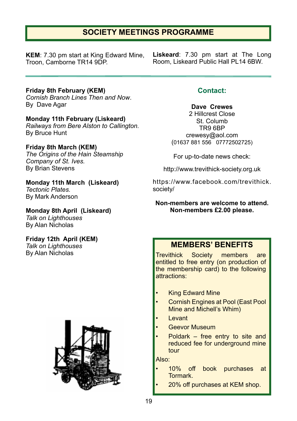# **SOCIETY MEETINGS PROGRAMME**

**KEM**: 7.30 pm start at King Edward Mine, Troon, Camborne TR14 9DP.

**Liskeard**: 7.30 pm start at The Long Room, Liskeard Public Hall PL14 6BW.

**Friday 8th February (KEM)** *Cornish Branch Lines Then and Now*. By Dave Agar

**Monday 11th February (Liskeard)** *Railways from Bere Alston to Callington.* By Bruce Hunt

**Friday 8th March (KEM)** *The Origins of the Hain Steamship Company of St. Ives.* By Brian Stevens

**Monday 11th March (Liskeard)** *Tectonic Plates.* By Mark Anderson

**Monday 8th April (Liskeard)** *Talk on Lighthouses* By Alan Nicholas

**Friday 12th April (KEM)** *Talk on Lighthouses* By Alan Nicholas



# **Contact:**

**Dave Crewes** 2 Hillcrest Close St. Columb TR9 6BP crewesy@aol.com (01637 881 556 07772502725)

For up-to-date news check:

http://www.trevithick-society.org.uk

https://www.facebook.com/trevithick. society/

**Non-members are welcome to attend. Non-members £2.00 please.**

# **MEMBERS' BENEFITS**

Trevithick Society members are entitled to free entry (on production of the membership card) to the following attractions:

- **King Edward Mine**
- Cornish Engines at Pool (East Pool Mine and Michell's Whim)
- Levant
- Geevor Museum
- Poldark  $-$  free entry to site and reduced fee for underground mine tour

Also:

- 10% off book purchases at Tormark.
	- 20% off purchases at KEM shop.